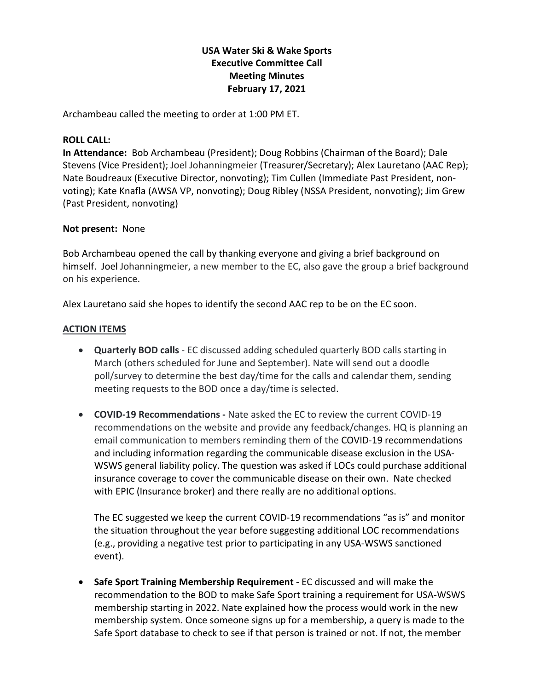# **USA Water Ski & Wake Sports Executive Committee Call Meeting Minutes February 17, 2021**

Archambeau called the meeting to order at 1:00 PM ET.

#### **ROLL CALL:**

**In Attendance:** Bob Archambeau (President); Doug Robbins (Chairman of the Board); Dale Stevens (Vice President); Joel Johanningmeier (Treasurer/Secretary); Alex Lauretano (AAC Rep); Nate Boudreaux (Executive Director, nonvoting); Tim Cullen (Immediate Past President, nonvoting); Kate Knafla (AWSA VP, nonvoting); Doug Ribley (NSSA President, nonvoting); Jim Grew (Past President, nonvoting)

#### **Not present:** None

Bob Archambeau opened the call by thanking everyone and giving a brief background on himself. Joel Johanningmeier, a new member to the EC, also gave the group a brief background on his experience.

Alex Lauretano said she hopes to identify the second AAC rep to be on the EC soon.

#### **ACTION ITEMS**

- **Quarterly BOD calls** EC discussed adding scheduled quarterly BOD calls starting in March (others scheduled for June and September). Nate will send out a doodle poll/survey to determine the best day/time for the calls and calendar them, sending meeting requests to the BOD once a day/time is selected.
- **COVID-19 Recommendations -** Nate asked the EC to review the current COVID-19 recommendations on the website and provide any feedback/changes. HQ is planning an email communication to members reminding them of the COVID-19 recommendations and including information regarding the communicable disease exclusion in the USA-WSWS general liability policy. The question was asked if LOCs could purchase additional insurance coverage to cover the communicable disease on their own. Nate checked with EPIC (Insurance broker) and there really are no additional options.

The EC suggested we keep the current COVID-19 recommendations "as is" and monitor the situation throughout the year before suggesting additional LOC recommendations (e.g., providing a negative test prior to participating in any USA-WSWS sanctioned event).

• **Safe Sport Training Membership Requirement** - EC discussed and will make the recommendation to the BOD to make Safe Sport training a requirement for USA-WSWS membership starting in 2022. Nate explained how the process would work in the new membership system. Once someone signs up for a membership, a query is made to the Safe Sport database to check to see if that person is trained or not. If not, the member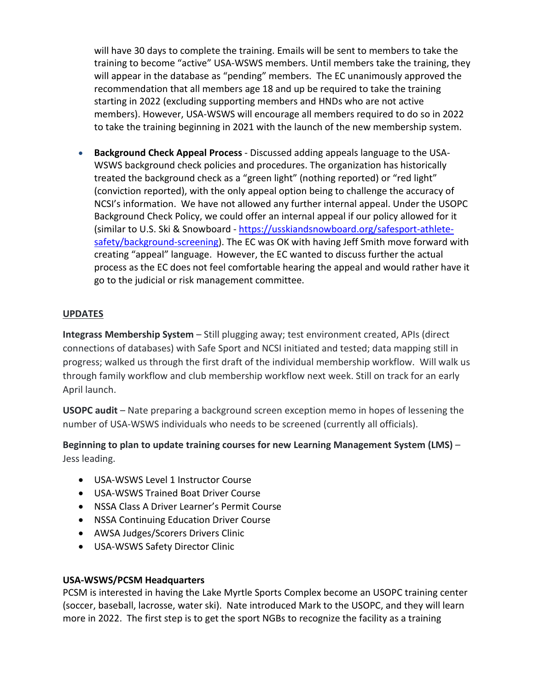will have 30 days to complete the training. Emails will be sent to members to take the training to become "active" USA-WSWS members. Until members take the training, they will appear in the database as "pending" members. The EC unanimously approved the recommendation that all members age 18 and up be required to take the training starting in 2022 (excluding supporting members and HNDs who are not active members). However, USA-WSWS will encourage all members required to do so in 2022 to take the training beginning in 2021 with the launch of the new membership system.

• **Background Check Appeal Process** - Discussed adding appeals language to the USA-WSWS background check policies and procedures. The organization has historically treated the background check as a "green light" (nothing reported) or "red light" (conviction reported), with the only appeal option being to challenge the accuracy of NCSI's information. We have not allowed any further internal appeal. Under the USOPC Background Check Policy, we could offer an internal appeal if our policy allowed for it (similar to U.S. Ski & Snowboard - [https://usskiandsnowboard.org/safesport-athlete](https://usskiandsnowboard.org/safesport-athlete-safety/background-screening)[safety/background-screening\)](https://usskiandsnowboard.org/safesport-athlete-safety/background-screening). The EC was OK with having Jeff Smith move forward with creating "appeal" language. However, the EC wanted to discuss further the actual process as the EC does not feel comfortable hearing the appeal and would rather have it go to the judicial or risk management committee.

# **UPDATES**

**Integrass Membership System** – Still plugging away; test environment created, APIs (direct connections of databases) with Safe Sport and NCSI initiated and tested; data mapping still in progress; walked us through the first draft of the individual membership workflow. Will walk us through family workflow and club membership workflow next week. Still on track for an early April launch.

**USOPC audit** – Nate preparing a background screen exception memo in hopes of lessening the number of USA-WSWS individuals who needs to be screened (currently all officials).

# **Beginning to plan to update training courses for new Learning Management System (LMS)** – Jess leading.

- USA-WSWS Level 1 Instructor Course
- USA-WSWS Trained Boat Driver Course
- NSSA Class A Driver Learner's Permit Course
- NSSA Continuing Education Driver Course
- AWSA Judges/Scorers Drivers Clinic
- USA-WSWS Safety Director Clinic

# **USA-WSWS/PCSM Headquarters**

PCSM is interested in having the Lake Myrtle Sports Complex become an USOPC training center (soccer, baseball, lacrosse, water ski). Nate introduced Mark to the USOPC, and they will learn more in 2022. The first step is to get the sport NGBs to recognize the facility as a training